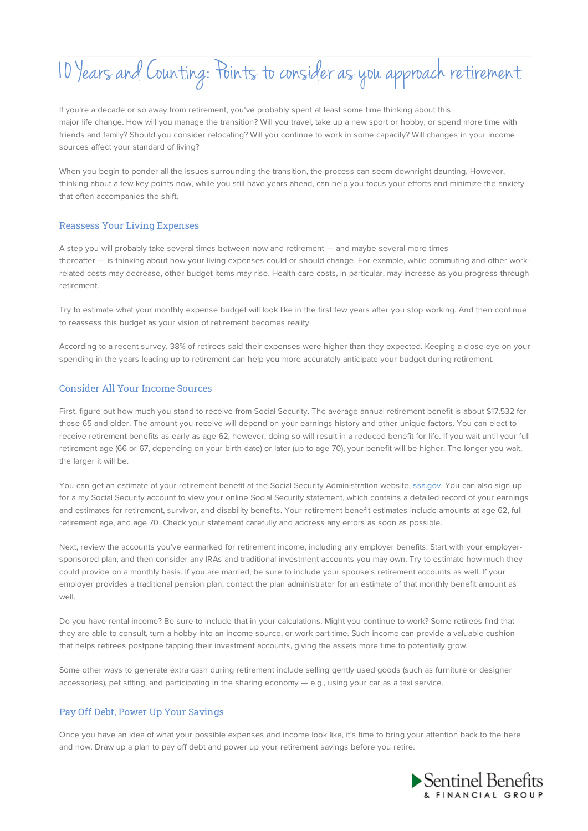# 10 Years andCounting: Points to consider as you approach retirement

If you're a decade or so away from retirement, you've probably spent at least some time thinking about this major life change. How will you manage the transition? Will you travel, take up a new sport or hobby, or spend more time with friends and family? Should you consider relocating? Will you continue to work in some capacity? Will changes in your income sources affect your standard of living?

When you begin to ponder all the issues surrounding the transition, the process can seem downright daunting. However, thinking about a few key points now, while you still have years ahead, can help you focus your efforts and minimize the anxiety that often accompanies the shift.

## Reassess Your Living Expenses

A step you will probably take several times between now and retirement — and maybe several more times thereafter — is thinking about how your living expenses could or should change. For example, while commuting and other workrelated costs may decrease, other budget items may rise. Health-care costs, in particular, may increase as you progress through retirement.

Try to estimate what your monthly expense budget will look like in the first few years after you stop working. And then continue to reassess this budget as your vision of retirement becomes reality.

According to a recent survey, 38% of retirees said their expenses were higher than they expected. Keeping a close eye on your spending in the years leading up to retirement can help you more accurately anticipate your budget during retirement.

## Consider All Your Income Sources

First, figure out how much you stand to receive from Social Security. The average annual retirement benefit is about \$17,532 for those 65 and older. The amount you receive will depend on your earnings history and other unique factors. You can elect to receive retirement benefits as early as age 62, however, doing so will result in a reduced benefit for life. If you wait until your full retirement age (66 or 67, depending on your birth date) or later (up to age 70), your benefit will be higher. The longer you wait, the larger it will be.

You can get an estimate of your retirement benefit at the Social Security Administration website, ssa.gov. You can also sign up for a my Social Security account to view your online Social Security statement, which contains a detailed record of your earnings and estimates for retirement, survivor, and disability benefits. Your retirement benefit estimates include amounts at age 62, full retirement age, and age 70. Check your statement carefully and address any errors as soon as possible.

Next, review the accounts you've earmarked for retirement income, including any employer benefits. Start with your employersponsored plan, and then consider any IRAs and traditional investment accounts you may own. Try to estimate how much they could provide on a monthly basis. If you are married, be sure to include your spouse's retirement accounts as well. If your employer provides a traditional pension plan, contact the plan administrator for an estimate of that monthly benefit amount as well.

Do you have rental income? Be sure to include that in your calculations. Might you continue to work? Some retirees find that they are able to consult, turn a hobby into an income source, or work part-time. Such income can provide a valuable cushion that helps retirees postpone tapping their investment accounts, giving the assets more time to potentially grow.

Some other ways to generate extra cash during retirement include selling gently used goods (such as furniture or designer accessories), pet sitting, and participating in the sharing economy — e.g., using your car as a taxi service.

## Pay Off Debt, Power Up Your Savings

Once you have an idea of what your possible expenses and income look like, it's time to bring your attention back to the here and now. Draw up a plan to pay off debt and power up your retirement savings before you retire.

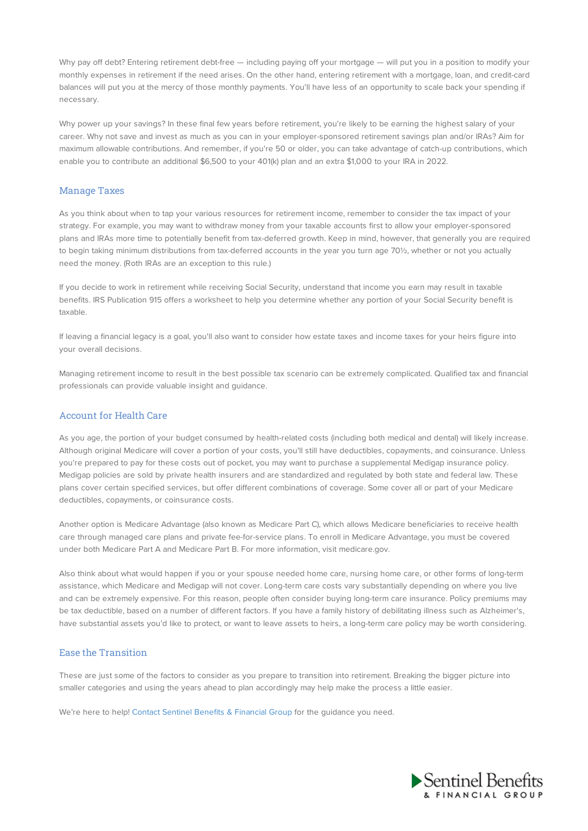Why pay off debt? Entering retirement debt-free — including paying off your mortgage — will put you in a position to modify your monthly expenses in retirement if the need arises. On the other hand, entering retirement with a mortgage, loan, and credit-card balances will put you at the mercy of those monthly payments. You'll have less of an opportunity to scale back your spending if necessary.

Why power up your savings? In these final few years before retirement, you're likely to be earning the highest salary of your career. Why not save and invest as much as you can in your employer-sponsored retirement savings plan and/or IRAs? Aim for maximum allowable contributions. And remember, if you're 50 or older, you can take advantage of catch-up contributions, which enable you to contribute an additional \$6,500 to your 401(k) plan and an extra \$1,000 to your IRA in 2022.

## Manage Taxes

As you think about when to tap your various resources for retirement income, remember to consider the tax impact of your strategy. For example, you may want to withdraw money from your taxable accounts first to allow your employer-sponsored plans and IRAs more time to potentially benefit from tax-deferred growth. Keep in mind, however, that generally you are required to begin taking minimum distributions from tax-deferred accounts in the year you turn age 70½, whether or not you actually need the money. (Roth IRAs are an exception to this rule.)

If you decide to work in retirement while receiving Social Security, understand that income you earn may result in taxable benefits. IRS Publication 915 offers a worksheet to help you determine whether any portion of your Social Security benefit is taxable.

If leaving a financial legacy is a goal, you'll also want to consider how estate taxes and income taxes for your heirs figure into your overall decisions.

Managing retirement income to result in the best possible tax scenario can be extremely complicated. Qualified tax and financial professionals can provide valuable insight and guidance.

## Account for Health Care

As you age, the portion of your budget consumed by health-related costs (including both medical and dental) will likely increase. Although original Medicare will cover a portion of your costs, you'll still have deductibles, copayments, and coinsurance. Unless you're prepared to pay for these costs out of pocket, you may want to purchase a supplemental Medigap insurance policy. Medigap policies are sold by private health insurers and are standardized and regulated by both state and federal law. These plans cover certain specified services, but offer different combinations of coverage. Some cover all or part of your Medicare deductibles, copayments, or coinsurance costs.

Another option is Medicare Advantage (also known as Medicare Part C), which allows Medicare beneficiaries to receive health care through managed care plans and private fee-for-service plans. To enroll in Medicare Advantage, you must be covered under both Medicare Part A and Medicare Part B. For more information, visit medicare.gov.

Also think about what would happen if you or your spouse needed home care, nursing home care, or other forms of long-term assistance, which Medicare and Medigap will not cover. Long-term care costs vary substantially depending on where you live and can be extremely expensive. For this reason, people often consider buying long-term care insurance. Policy premiums may be tax deductible, based on a number of different factors. If you have a family history of debilitating illness such as Alzheimer's, have substantial assets you'd like to protect, or want to leave assets to heirs, a long-term care policy may be worth considering.

## Ease the Transition

These are just some of the factors to consider as you prepare to transition into retirement. Breaking the bigger picture into smaller categories and using the years ahead to plan accordingly may help make the process a little easier.

We're here to help! Contact Sentinel Benefits & Financial Group for the guidance you need.